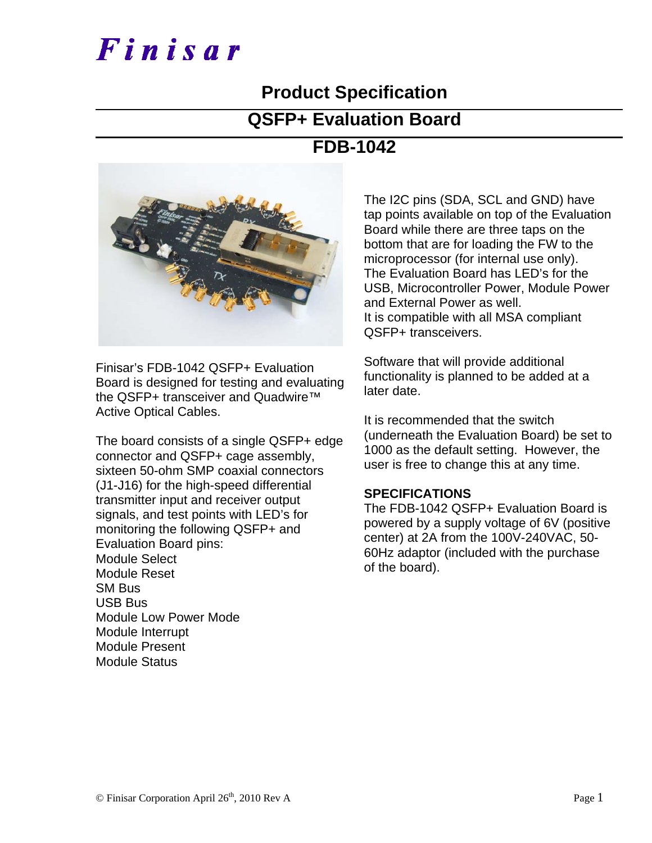# Finisar

### **Product Specification**

#### **QSFP+ Evaluation Board**

### **FDB-1042**



Finisar's FDB-1042 QSFP+ Evaluation Board is designed for testing and evaluating the QSFP+ transceiver and Quadwire™ Active Optical Cables.

The board consists of a single QSFP+ edge connector and QSFP+ cage assembly, sixteen 50-ohm SMP coaxial connectors (J1-J16) for the high-speed differential transmitter input and receiver output signals, and test points with LED's for monitoring the following QSFP+ and Evaluation Board pins: Module Select Module Reset SM Bus USB Bus Module Low Power Mode Module Interrupt Module Present Module Status

The I2C pins (SDA, SCL and GND) have tap points available on top of the Evaluation Board while there are three taps on the bottom that are for loading the FW to the microprocessor (for internal use only). The Evaluation Board has LED's for the USB, Microcontroller Power, Module Power and External Power as well. It is compatible with all MSA compliant QSFP+ transceivers.

Software that will provide additional functionality is planned to be added at a later date.

It is recommended that the switch (underneath the Evaluation Board) be set to 1000 as the default setting. However, the user is free to change this at any time.

#### **SPECIFICATIONS**

The FDB-1042 QSFP+ Evaluation Board is powered by a supply voltage of 6V (positive center) at 2A from the 100V-240VAC, 50- 60Hz adaptor (included with the purchase of the board).